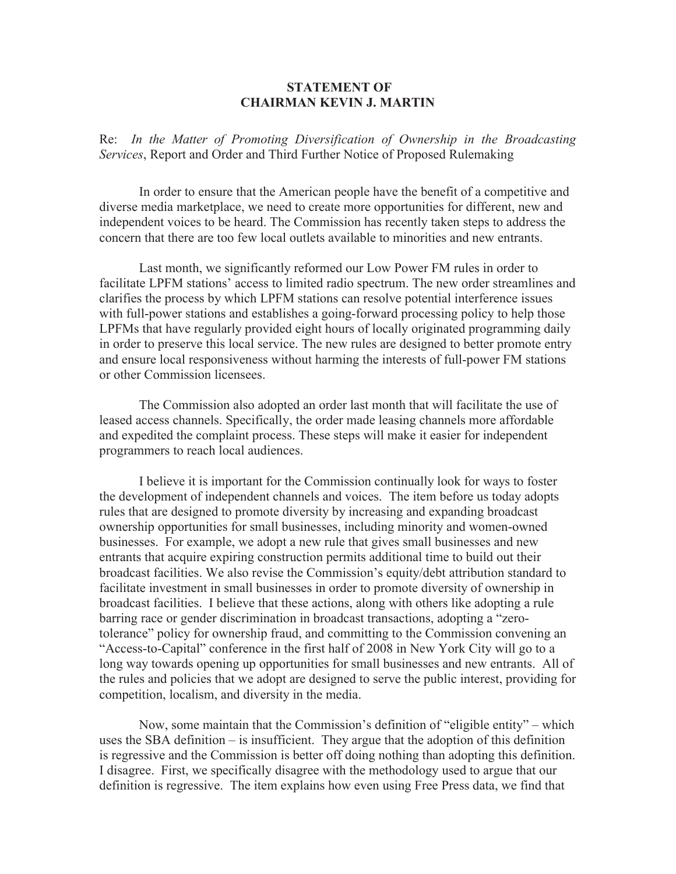## **STATEMENT OF CHAIRMAN KEVIN J. MARTIN**

Re: *In the Matter of Promoting Diversification of Ownership in the Broadcasting Services*, Report and Order and Third Further Notice of Proposed Rulemaking

In order to ensure that the American people have the benefit of a competitive and diverse media marketplace, we need to create more opportunities for different, new and independent voices to be heard. The Commission has recently taken steps to address the concern that there are too few local outlets available to minorities and new entrants.

Last month, we significantly reformed our Low Power FM rules in order to facilitate LPFM stations' access to limited radio spectrum. The new order streamlines and clarifies the process by which LPFM stations can resolve potential interference issues with full-power stations and establishes a going-forward processing policy to help those LPFMs that have regularly provided eight hours of locally originated programming daily in order to preserve this local service. The new rules are designed to better promote entry and ensure local responsiveness without harming the interests of full-power FM stations or other Commission licensees.

The Commission also adopted an order last month that will facilitate the use of leased access channels. Specifically, the order made leasing channels more affordable and expedited the complaint process. These steps will make it easier for independent programmers to reach local audiences.

I believe it is important for the Commission continually look for ways to foster the development of independent channels and voices. The item before us today adopts rules that are designed to promote diversity by increasing and expanding broadcast ownership opportunities for small businesses, including minority and women-owned businesses. For example, we adopt a new rule that gives small businesses and new entrants that acquire expiring construction permits additional time to build out their broadcast facilities. We also revise the Commission's equity/debt attribution standard to facilitate investment in small businesses in order to promote diversity of ownership in broadcast facilities. I believe that these actions, along with others like adopting a rule barring race or gender discrimination in broadcast transactions, adopting a "zerotolerance" policy for ownership fraud, and committing to the Commission convening an "Access-to-Capital" conference in the first half of 2008 in New York City will go to a long way towards opening up opportunities for small businesses and new entrants. All of the rules and policies that we adopt are designed to serve the public interest, providing for competition, localism, and diversity in the media.

Now, some maintain that the Commission's definition of "eligible entity" – which uses the SBA definition – is insufficient. They argue that the adoption of this definition is regressive and the Commission is better off doing nothing than adopting this definition. I disagree. First, we specifically disagree with the methodology used to argue that our definition is regressive. The item explains how even using Free Press data, we find that